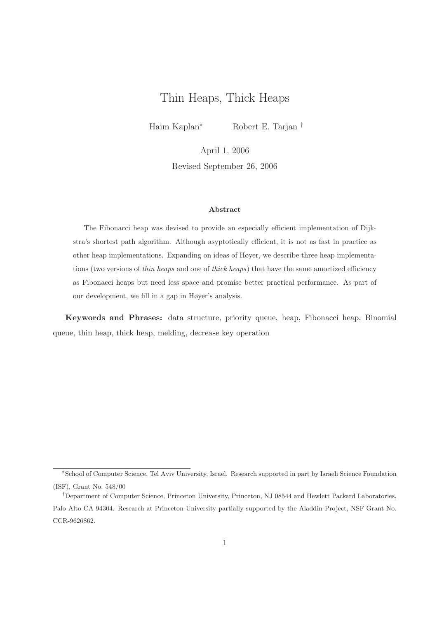# Thin Heaps, Thick Heaps

Haim Kaplan<sup>∗</sup> Robert E. Tarjan †

April 1, 2006 Revised September 26, 2006

#### Abstract

The Fibonacci heap was devised to provide an especially efficient implementation of Dijkstra's shortest path algorithm. Although asyptotically efficient, it is not as fast in practice as other heap implementations. Expanding on ideas of Høyer, we describe three heap implementations (two versions of thin heaps and one of thick heaps) that have the same amortized efficiency as Fibonacci heaps but need less space and promise better practical performance. As part of our development, we fill in a gap in Høyer's analysis.

Keywords and Phrases: data structure, priority queue, heap, Fibonacci heap, Binomial queue, thin heap, thick heap, melding, decrease key operation

<sup>∗</sup>School of Computer Science, Tel Aviv University, Israel. Research supported in part by Israeli Science Foundation (ISF), Grant No. 548/00

<sup>†</sup>Department of Computer Science, Princeton University, Princeton, NJ 08544 and Hewlett Packard Laboratories, Palo Alto CA 94304. Research at Princeton University partially supported by the Aladdin Project, NSF Grant No. CCR-9626862.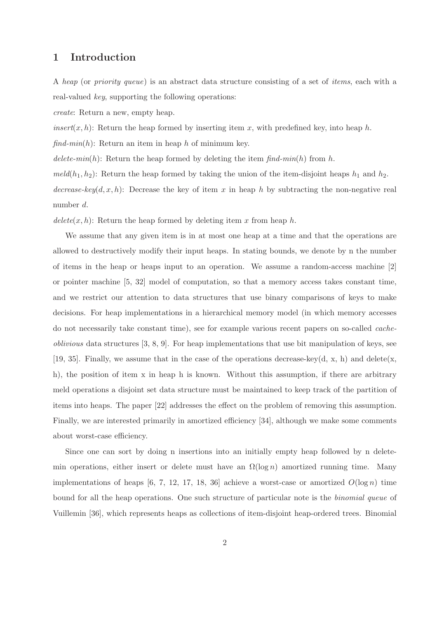#### 1 Introduction

A heap (or priority queue) is an abstract data structure consisting of a set of items, each with a real-valued key, supporting the following operations:

create: Return a new, empty heap.

insert $(x, h)$ : Return the heap formed by inserting item x, with predefined key, into heap h.

 $find-min(h)$ : Return an item in heap h of minimum key.

delete-min(h): Return the heap formed by deleting the item  $\text{find-min}(h)$  from h.

meld( $h_1, h_2$ ): Return the heap formed by taking the union of the item-disjoint heaps  $h_1$  and  $h_2$ .

decrease-key(d, x, h): Decrease the key of item x in heap h by subtracting the non-negative real number d.

 $delete(x, h)$ : Return the heap formed by deleting item x from heap h.

We assume that any given item is in at most one heap at a time and that the operations are allowed to destructively modify their input heaps. In stating bounds, we denote by n the number of items in the heap or heaps input to an operation. We assume a random-access machine [2] or pointer machine [5, 32] model of computation, so that a memory access takes constant time, and we restrict our attention to data structures that use binary comparisons of keys to make decisions. For heap implementations in a hierarchical memory model (in which memory accesses do not necessarily take constant time), see for example various recent papers on so-called cacheoblivious data structures [3, 8, 9]. For heap implementations that use bit manipulation of keys, see [19, 35]. Finally, we assume that in the case of the operations decrease-key(d, x, h) and delete(x, h), the position of item x in heap h is known. Without this assumption, if there are arbitrary meld operations a disjoint set data structure must be maintained to keep track of the partition of items into heaps. The paper [22] addresses the effect on the problem of removing this assumption. Finally, we are interested primarily in amortized efficiency [34], although we make some comments about worst-case efficiency.

Since one can sort by doing n insertions into an initially empty heap followed by n deletemin operations, either insert or delete must have an  $\Omega(\log n)$  amortized running time. Many implementations of heaps [6, 7, 12, 17, 18, 36] achieve a worst-case or amortized  $O(\log n)$  time bound for all the heap operations. One such structure of particular note is the binomial queue of Vuillemin [36], which represents heaps as collections of item-disjoint heap-ordered trees. Binomial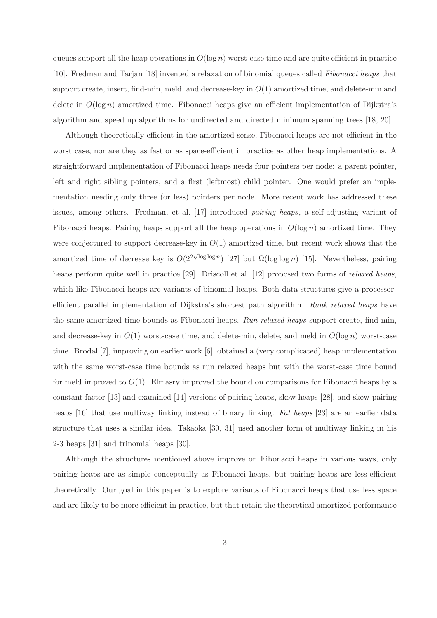queues support all the heap operations in  $O(\log n)$  worst-case time and are quite efficient in practice [10]. Fredman and Tarjan [18] invented a relaxation of binomial queues called Fibonacci heaps that support create, insert, find-min, meld, and decrease-key in  $O(1)$  amortized time, and delete-min and delete in  $O(\log n)$  amortized time. Fibonacci heaps give an efficient implementation of Dijkstra's algorithm and speed up algorithms for undirected and directed minimum spanning trees [18, 20].

Although theoretically efficient in the amortized sense, Fibonacci heaps are not efficient in the worst case, nor are they as fast or as space-efficient in practice as other heap implementations. A straightforward implementation of Fibonacci heaps needs four pointers per node: a parent pointer, left and right sibling pointers, and a first (leftmost) child pointer. One would prefer an implementation needing only three (or less) pointers per node. More recent work has addressed these issues, among others. Fredman, et al. [17] introduced pairing heaps, a self-adjusting variant of Fibonacci heaps. Pairing heaps support all the heap operations in  $O(\log n)$  amortized time. They were conjectured to support decrease-key in  $O(1)$  amortized time, but recent work shows that the amortized time of decrease key is  $O(2^{2\sqrt{\log \log n}})$  [27] but  $\Omega(\log \log n)$  [15]. Nevertheless, pairing heaps perform quite well in practice [29]. Driscoll et al. [12] proposed two forms of relaxed heaps, which like Fibonacci heaps are variants of binomial heaps. Both data structures give a processorefficient parallel implementation of Dijkstra's shortest path algorithm. Rank relaxed heaps have the same amortized time bounds as Fibonacci heaps. Run relaxed heaps support create, find-min, and decrease-key in  $O(1)$  worst-case time, and delete-min, delete, and meld in  $O(\log n)$  worst-case time. Brodal [7], improving on earlier work [6], obtained a (very complicated) heap implementation with the same worst-case time bounds as run relaxed heaps but with the worst-case time bound for meld improved to  $O(1)$ . Elmasry improved the bound on comparisons for Fibonacci heaps by a constant factor [13] and examined [14] versions of pairing heaps, skew heaps [28], and skew-pairing heaps [16] that use multiway linking instead of binary linking. Fat heaps [23] are an earlier data structure that uses a similar idea. Takaoka [30, 31] used another form of multiway linking in his 2-3 heaps [31] and trinomial heaps [30].

Although the structures mentioned above improve on Fibonacci heaps in various ways, only pairing heaps are as simple conceptually as Fibonacci heaps, but pairing heaps are less-efficient theoretically. Our goal in this paper is to explore variants of Fibonacci heaps that use less space and are likely to be more efficient in practice, but that retain the theoretical amortized performance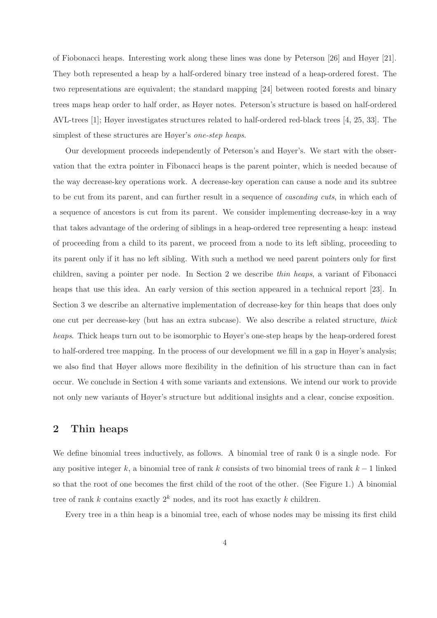of Fiobonacci heaps. Interesting work along these lines was done by Peterson [26] and Høyer [21]. They both represented a heap by a half-ordered binary tree instead of a heap-ordered forest. The two representations are equivalent; the standard mapping [24] between rooted forests and binary trees maps heap order to half order, as Høyer notes. Peterson's structure is based on half-ordered AVL-trees [1]; Høyer investigates structures related to half-ordered red-black trees [4, 25, 33]. The simplest of these structures are Høyer's one-step heaps.

Our development proceeds independently of Peterson's and Høyer's. We start with the observation that the extra pointer in Fibonacci heaps is the parent pointer, which is needed because of the way decrease-key operations work. A decrease-key operation can cause a node and its subtree to be cut from its parent, and can further result in a sequence of cascading cuts, in which each of a sequence of ancestors is cut from its parent. We consider implementing decrease-key in a way that takes advantage of the ordering of siblings in a heap-ordered tree representing a heap: instead of proceeding from a child to its parent, we proceed from a node to its left sibling, proceeding to its parent only if it has no left sibling. With such a method we need parent pointers only for first children, saving a pointer per node. In Section 2 we describe thin heaps, a variant of Fibonacci heaps that use this idea. An early version of this section appeared in a technical report [23]. In Section 3 we describe an alternative implementation of decrease-key for thin heaps that does only one cut per decrease-key (but has an extra subcase). We also describe a related structure, thick heaps. Thick heaps turn out to be isomorphic to Høyer's one-step heaps by the heap-ordered forest to half-ordered tree mapping. In the process of our development we fill in a gap in Høyer's analysis; we also find that Høyer allows more flexibility in the definition of his structure than can in fact occur. We conclude in Section 4 with some variants and extensions. We intend our work to provide not only new variants of Høyer's structure but additional insights and a clear, concise exposition.

# 2 Thin heaps

We define binomial trees inductively, as follows. A binomial tree of rank 0 is a single node. For any positive integer k, a binomial tree of rank k consists of two binomial trees of rank  $k - 1$  linked so that the root of one becomes the first child of the root of the other. (See Figure 1.) A binomial tree of rank k contains exactly  $2^k$  nodes, and its root has exactly k children.

Every tree in a thin heap is a binomial tree, each of whose nodes may be missing its first child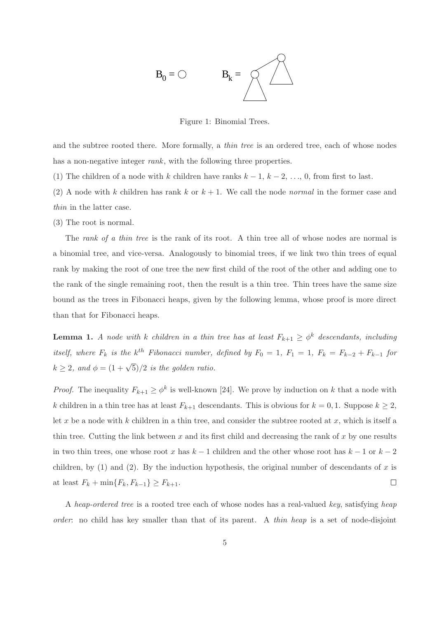

Figure 1: Binomial Trees.

and the subtree rooted there. More formally, a *thin tree* is an ordered tree, each of whose nodes has a non-negative integer *rank*, with the following three properties.

(1) The children of a node with k children have ranks  $k-1, k-2, \ldots, 0$ , from first to last.

(2) A node with k children has rank k or  $k + 1$ . We call the node *normal* in the former case and thin in the latter case.

(3) The root is normal.

The rank of a thin tree is the rank of its root. A thin tree all of whose nodes are normal is a binomial tree, and vice-versa. Analogously to binomial trees, if we link two thin trees of equal rank by making the root of one tree the new first child of the root of the other and adding one to the rank of the single remaining root, then the result is a thin tree. Thin trees have the same size bound as the trees in Fibonacci heaps, given by the following lemma, whose proof is more direct than that for Fibonacci heaps.

**Lemma 1.** A node with k children in a thin tree has at least  $F_{k+1} \geq \phi^k$  descendants, including itself, where  $F_k$  is the  $k^{th}$  Fibonacci number, defined by  $F_0 = 1$ ,  $F_1 = 1$ ,  $F_k = F_{k-2} + F_{k-1}$  for  $k \geq 2$ , and  $\phi = (1 + \sqrt{5})/2$  is the golden ratio.

*Proof.* The inequality  $F_{k+1} \ge \phi^k$  is well-known [24]. We prove by induction on k that a node with k children in a thin tree has at least  $F_{k+1}$  descendants. This is obvious for  $k = 0, 1$ . Suppose  $k \geq 2$ , let x be a node with  $k$  children in a thin tree, and consider the subtree rooted at  $x$ , which is itself a thin tree. Cutting the link between  $x$  and its first child and decreasing the rank of  $x$  by one results in two thin trees, one whose root x has  $k-1$  children and the other whose root has  $k-1$  or  $k-2$ children, by  $(1)$  and  $(2)$ . By the induction hypothesis, the original number of descendants of x is at least  $F_k + \min\{F_k, F_{k-1}\} \ge F_{k+1}.$  $\Box$ 

A heap-ordered tree is a rooted tree each of whose nodes has a real-valued key, satisfying heap order: no child has key smaller than that of its parent. A *thin heap* is a set of node-disjoint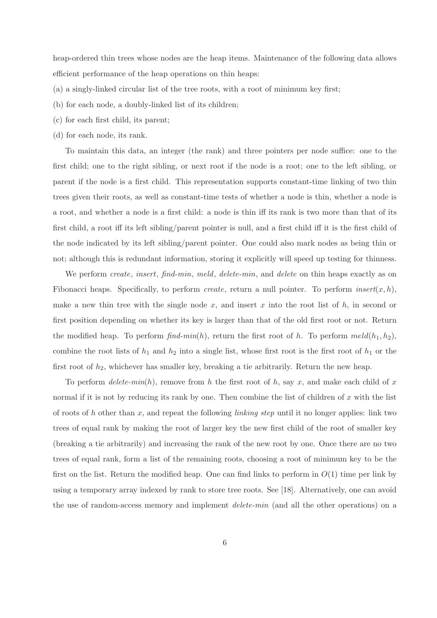heap-ordered thin trees whose nodes are the heap items. Maintenance of the following data allows efficient performance of the heap operations on thin heaps:

- (a) a singly-linked circular list of the tree roots, with a root of minimum key first;
- (b) for each node, a doubly-linked list of its children;
- (c) for each first child, its parent;
- (d) for each node, its rank.

To maintain this data, an integer (the rank) and three pointers per node suffice: one to the first child; one to the right sibling, or next root if the node is a root; one to the left sibling, or parent if the node is a first child. This representation supports constant-time linking of two thin trees given their roots, as well as constant-time tests of whether a node is thin, whether a node is a root, and whether a node is a first child: a node is thin iff its rank is two more than that of its first child, a root iff its left sibling/parent pointer is null, and a first child iff it is the first child of the node indicated by its left sibling/parent pointer. One could also mark nodes as being thin or not; although this is redundant information, storing it explicitly will speed up testing for thinness.

We perform create, insert, find-min, meld, delete-min, and delete on thin heaps exactly as on Fibonacci heaps. Specifically, to perform *create*, return a null pointer. To perform *insert* $(x, h)$ , make a new thin tree with the single node x, and insert x into the root list of h, in second or first position depending on whether its key is larger than that of the old first root or not. Return the modified heap. To perform  $\text{find-min}(h)$ , return the first root of h. To perform  $\text{meld}(h_1, h_2)$ , combine the root lists of  $h_1$  and  $h_2$  into a single list, whose first root is the first root of  $h_1$  or the first root of  $h_2$ , whichever has smaller key, breaking a tie arbitrarily. Return the new heap.

To perform delete-min(h), remove from h the first root of h, say x, and make each child of x normal if it is not by reducing its rank by one. Then combine the list of children of x with the list of roots of h other than x, and repeat the following *linking step* until it no longer applies: link two trees of equal rank by making the root of larger key the new first child of the root of smaller key (breaking a tie arbitrarily) and increasing the rank of the new root by one. Once there are no two trees of equal rank, form a list of the remaining roots, choosing a root of minimum key to be the first on the list. Return the modified heap. One can find links to perform in  $O(1)$  time per link by using a temporary array indexed by rank to store tree roots. See [18]. Alternatively, one can avoid the use of random-access memory and implement delete-min (and all the other operations) on a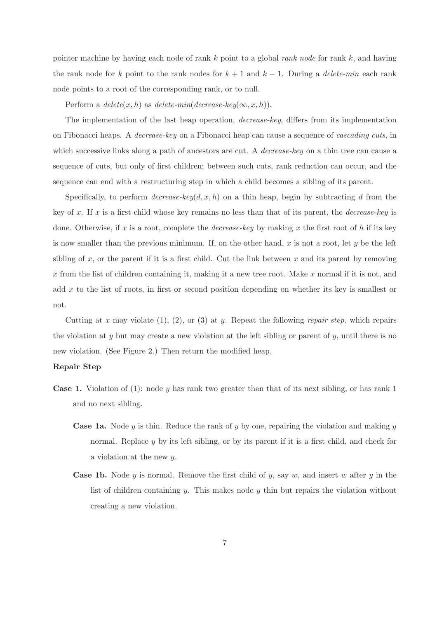pointer machine by having each node of rank  $k$  point to a global *rank node* for rank  $k$ , and having the rank node for k point to the rank nodes for  $k + 1$  and  $k - 1$ . During a delete-min each rank node points to a root of the corresponding rank, or to null.

Perform a  $delete(x, h)$  as  $delete-min(decrease-key(\infty, x, h)).$ 

The implementation of the last heap operation, *decrease-key*, differs from its implementation on Fibonacci heaps. A decrease-key on a Fibonacci heap can cause a sequence of cascading cuts, in which successive links along a path of ancestors are cut. A *decrease-key* on a thin tree can cause a sequence of cuts, but only of first children; between such cuts, rank reduction can occur, and the sequence can end with a restructuring step in which a child becomes a sibling of its parent.

Specifically, to perform  $decrease \cdot key(d, x, h)$  on a thin heap, begin by subtracting d from the key of x. If x is a first child whose key remains no less than that of its parent, the *decrease-key* is done. Otherwise, if x is a root, complete the *decrease-key* by making x the first root of h if its key is now smaller than the previous minimum. If, on the other hand, x is not a root, let  $y$  be the left sibling of x, or the parent if it is a first child. Cut the link between x and its parent by removing x from the list of children containing it, making it a new tree root. Make x normal if it is not, and add  $x$  to the list of roots, in first or second position depending on whether its key is smallest or not.

Cutting at x may violate  $(1), (2),$  or  $(3)$  at y. Repeat the following repair step, which repairs the violation at y but may create a new violation at the left sibling or parent of  $y$ , until there is no new violation. (See Figure 2.) Then return the modified heap.

#### Repair Step

- **Case 1.** Violation of (1): node y has rank two greater than that of its next sibling, or has rank 1 and no next sibling.
	- **Case 1a.** Node y is thin. Reduce the rank of y by one, repairing the violation and making y normal. Replace  $y$  by its left sibling, or by its parent if it is a first child, and check for a violation at the new  $y$ .
	- **Case 1b.** Node y is normal. Remove the first child of y, say w, and insert w after y in the list of children containing y. This makes node y thin but repairs the violation without creating a new violation.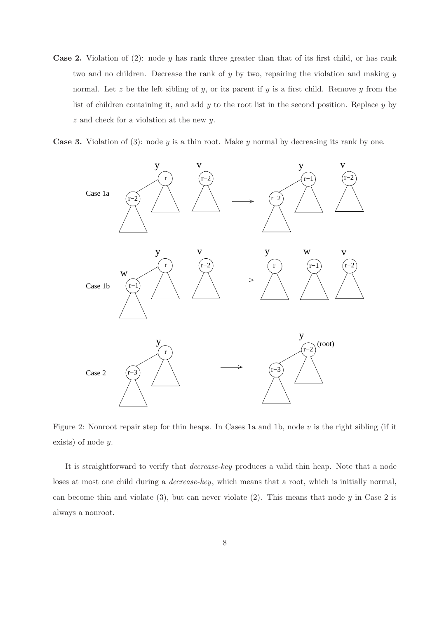- **Case 2.** Violation of (2): node y has rank three greater than that of its first child, or has rank two and no children. Decrease the rank of  $y$  by two, repairing the violation and making  $y$ normal. Let  $z$  be the left sibling of  $y$ , or its parent if  $y$  is a first child. Remove  $y$  from the list of children containing it, and add  $y$  to the root list in the second position. Replace  $y$  by z and check for a violation at the new y.
- **Case 3.** Violation of  $(3)$ : node y is a thin root. Make y normal by decreasing its rank by one.



Figure 2: Nonroot repair step for thin heaps. In Cases 1a and 1b, node  $v$  is the right sibling (if it exists) of node y.

It is straightforward to verify that decrease-key produces a valid thin heap. Note that a node loses at most one child during a *decrease-key*, which means that a root, which is initially normal, can become thin and violate  $(3)$ , but can never violate  $(2)$ . This means that node y in Case 2 is always a nonroot.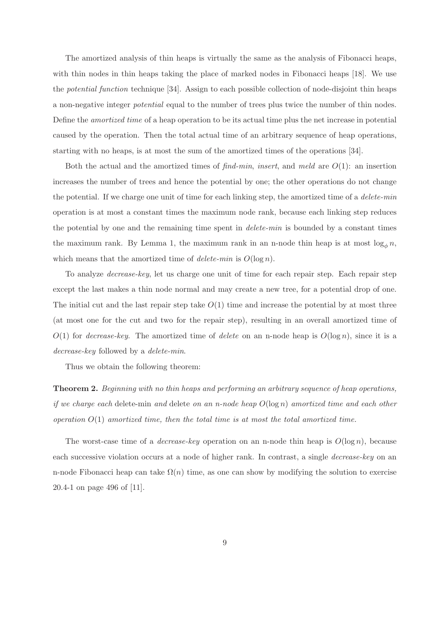The amortized analysis of thin heaps is virtually the same as the analysis of Fibonacci heaps, with thin nodes in thin heaps taking the place of marked nodes in Fibonacci heaps [18]. We use the potential function technique [34]. Assign to each possible collection of node-disjoint thin heaps a non-negative integer potential equal to the number of trees plus twice the number of thin nodes. Define the amortized time of a heap operation to be its actual time plus the net increase in potential caused by the operation. Then the total actual time of an arbitrary sequence of heap operations, starting with no heaps, is at most the sum of the amortized times of the operations [34].

Both the actual and the amortized times of find-min, insert, and meld are  $O(1)$ : an insertion increases the number of trees and hence the potential by one; the other operations do not change the potential. If we charge one unit of time for each linking step, the amortized time of a delete-min operation is at most a constant times the maximum node rank, because each linking step reduces the potential by one and the remaining time spent in  $delete-min$  is bounded by a constant times the maximum rank. By Lemma 1, the maximum rank in an n-node thin heap is at most  $\log_{\phi} n$ , which means that the amortized time of delete-min is  $O(\log n)$ .

To analyze decrease-key, let us charge one unit of time for each repair step. Each repair step except the last makes a thin node normal and may create a new tree, for a potential drop of one. The initial cut and the last repair step take  $O(1)$  time and increase the potential by at most three (at most one for the cut and two for the repair step), resulting in an overall amortized time of  $O(1)$  for *decrease-key*. The amortized time of *delete* on an n-node heap is  $O(\log n)$ , since it is a decrease-key followed by a *delete-min.* 

Thus we obtain the following theorem:

Theorem 2. Beginning with no thin heaps and performing an arbitrary sequence of heap operations, if we charge each delete-min and delete on an n-node heap  $O(\log n)$  amortized time and each other operation  $O(1)$  amortized time, then the total time is at most the total amortized time.

The worst-case time of a *decrease-key* operation on an n-node thin heap is  $O(\log n)$ , because each successive violation occurs at a node of higher rank. In contrast, a single decrease-key on an n-node Fibonacci heap can take  $\Omega(n)$  time, as one can show by modifying the solution to exercise 20.4-1 on page 496 of [11].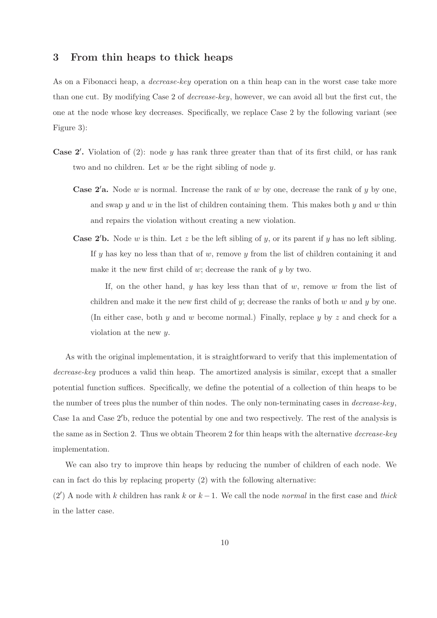### 3 From thin heaps to thick heaps

As on a Fibonacci heap, a *decrease-key* operation on a thin heap can in the worst case take more than one cut. By modifying Case 2 of decrease-key, however, we can avoid all but the first cut, the one at the node whose key decreases. Specifically, we replace Case 2 by the following variant (see Figure 3):

- **Case 2'.** Violation of  $(2)$ : node y has rank three greater than that of its first child, or has rank two and no children. Let  $w$  be the right sibling of node  $y$ .
	- **Case 2'a.** Node w is normal. Increase the rank of w by one, decrease the rank of y by one, and swap  $y$  and  $w$  in the list of children containing them. This makes both  $y$  and  $w$  thin and repairs the violation without creating a new violation.
	- **Case 2′b.** Node w is thin. Let z be the left sibling of y, or its parent if y has no left sibling. If y has key no less than that of w, remove y from the list of children containing it and make it the new first child of  $w$ ; decrease the rank of  $y$  by two.

If, on the other hand,  $y$  has key less than that of  $w$ , remove  $w$  from the list of children and make it the new first child of  $y$ ; decrease the ranks of both  $w$  and  $y$  by one. (In either case, both y and w become normal.) Finally, replace y by z and check for a violation at the new y.

As with the original implementation, it is straightforward to verify that this implementation of decrease-key produces a valid thin heap. The amortized analysis is similar, except that a smaller potential function suffices. Specifically, we define the potential of a collection of thin heaps to be the number of trees plus the number of thin nodes. The only non-terminating cases in *decrease-key*, Case 1a and Case 2′b, reduce the potential by one and two respectively. The rest of the analysis is the same as in Section 2. Thus we obtain Theorem 2 for thin heaps with the alternative decrease-key implementation.

We can also try to improve thin heaps by reducing the number of children of each node. We can in fact do this by replacing property (2) with the following alternative:

(2') A node with k children has rank k or  $k-1$ . We call the node *normal* in the first case and *thick* in the latter case.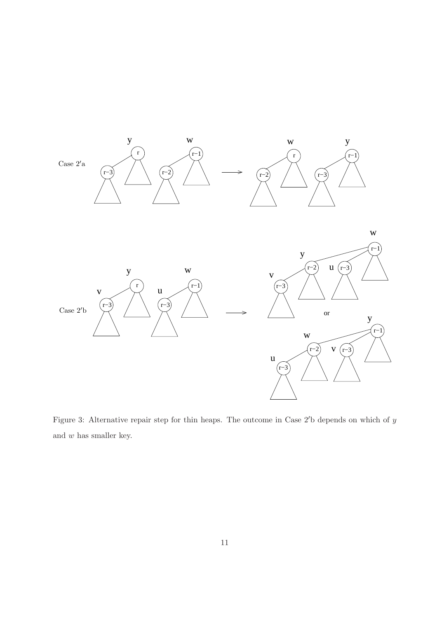

Figure 3: Alternative repair step for thin heaps. The outcome in Case 2′b depends on which of y and  $w$  has smaller key.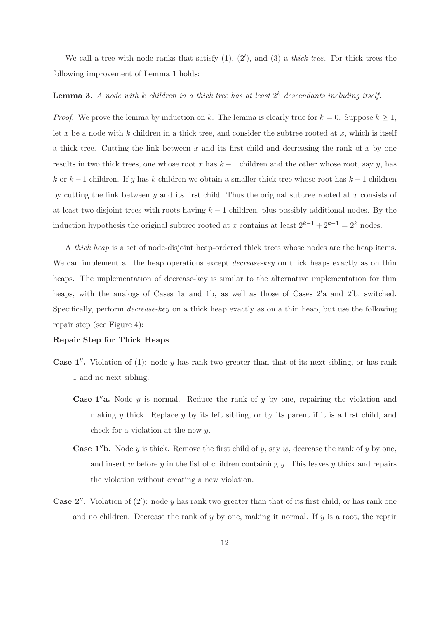We call a tree with node ranks that satisfy  $(1)$ ,  $(2')$ , and  $(3)$  a *thick tree*. For thick trees the following improvement of Lemma 1 holds:

#### **Lemma 3.** A node with k children in a thick tree has at least  $2^k$  descendants including itself.

*Proof.* We prove the lemma by induction on k. The lemma is clearly true for  $k = 0$ . Suppose  $k \ge 1$ , let x be a node with k children in a thick tree, and consider the subtree rooted at x, which is itself a thick tree. Cutting the link between  $x$  and its first child and decreasing the rank of  $x$  by one results in two thick trees, one whose root x has  $k-1$  children and the other whose root, say y, has k or k − 1 children. If y has k children we obtain a smaller thick tree whose root has  $k-1$  children by cutting the link between y and its first child. Thus the original subtree rooted at  $x$  consists of at least two disjoint trees with roots having  $k-1$  children, plus possibly additional nodes. By the induction hypothesis the original subtree rooted at x contains at least  $2^{k-1} + 2^{k-1} = 2^k$  nodes.  $\Box$ 

A thick heap is a set of node-disjoint heap-ordered thick trees whose nodes are the heap items. We can implement all the heap operations except *decrease-key* on thick heaps exactly as on thin heaps. The implementation of decrease-key is similar to the alternative implementation for thin heaps, with the analogs of Cases 1a and 1b, as well as those of Cases 2'a and 2'b, switched. Specifically, perform decrease-key on a thick heap exactly as on a thin heap, but use the following repair step (see Figure 4):

#### Repair Step for Thick Heaps

- **Case 1''.** Violation of (1): node y has rank two greater than that of its next sibling, or has rank 1 and no next sibling.
	- **Case 1<sup>"</sup>a.** Node  $y$  is normal. Reduce the rank of  $y$  by one, repairing the violation and making y thick. Replace y by its left sibling, or by its parent if it is a first child, and check for a violation at the new y.
	- **Case 1''b.** Node y is thick. Remove the first child of y, say w, decrease the rank of y by one, and insert w before y in the list of children containing y. This leaves y thick and repairs the violation without creating a new violation.
- **Case 2''.** Violation of  $(2')$ : node y has rank two greater than that of its first child, or has rank one and no children. Decrease the rank of  $y$  by one, making it normal. If  $y$  is a root, the repair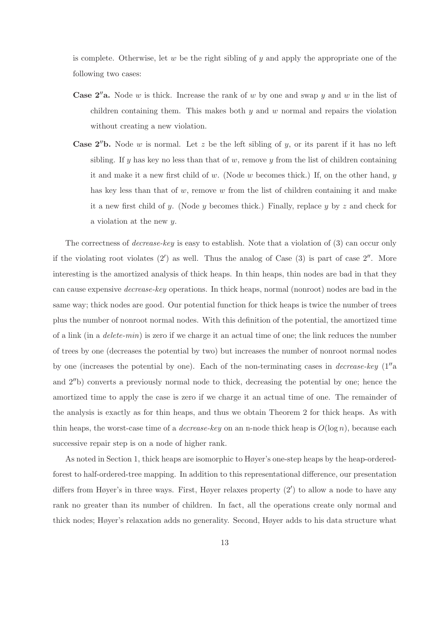is complete. Otherwise, let  $w$  be the right sibling of  $y$  and apply the appropriate one of the following two cases:

- **Case 2<sup>''</sup>a.** Node w is thick. Increase the rank of w by one and swap y and w in the list of children containing them. This makes both  $y$  and  $w$  normal and repairs the violation without creating a new violation.
- **Case 2<sup>''</sup>b.** Node w is normal. Let z be the left sibling of y, or its parent if it has no left sibling. If y has key no less than that of w, remove y from the list of children containing it and make it a new first child of  $w$ . (Node  $w$  becomes thick.) If, on the other hand,  $y$ has key less than that of  $w$ , remove  $w$  from the list of children containing it and make it a new first child of y. (Node y becomes thick.) Finally, replace y by z and check for a violation at the new y.

The correctness of *decrease-key* is easy to establish. Note that a violation of (3) can occur only if the violating root violates  $(2')$  as well. Thus the analog of Case  $(3)$  is part of case  $2''$ . More interesting is the amortized analysis of thick heaps. In thin heaps, thin nodes are bad in that they can cause expensive decrease-key operations. In thick heaps, normal (nonroot) nodes are bad in the same way; thick nodes are good. Our potential function for thick heaps is twice the number of trees plus the number of nonroot normal nodes. With this definition of the potential, the amortized time of a link (in a delete-min) is zero if we charge it an actual time of one; the link reduces the number of trees by one (decreases the potential by two) but increases the number of nonroot normal nodes by one (increases the potential by one). Each of the non-terminating cases in *decrease-key*  $(1<sup>''</sup>a)$ and  $2''$ b) converts a previously normal node to thick, decreasing the potential by one; hence the amortized time to apply the case is zero if we charge it an actual time of one. The remainder of the analysis is exactly as for thin heaps, and thus we obtain Theorem 2 for thick heaps. As with thin heaps, the worst-case time of a *decrease-key* on an n-node thick heap is  $O(\log n)$ , because each successive repair step is on a node of higher rank.

As noted in Section 1, thick heaps are isomorphic to Høyer's one-step heaps by the heap-orderedforest to half-ordered-tree mapping. In addition to this representational difference, our presentation differs from Høyer's in three ways. First, Høyer relaxes property (2′ ) to allow a node to have any rank no greater than its number of children. In fact, all the operations create only normal and thick nodes; Høyer's relaxation adds no generality. Second, Høyer adds to his data structure what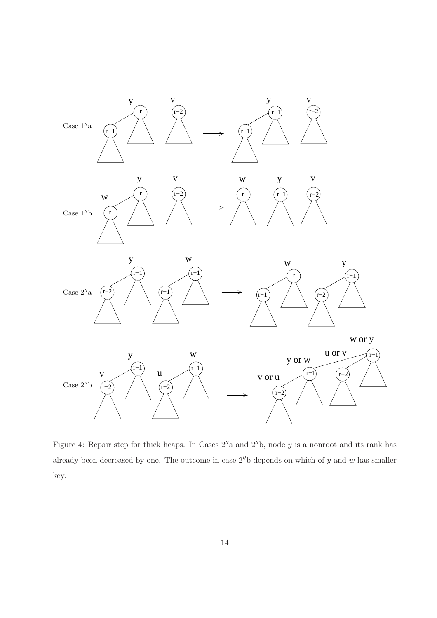

Figure 4: Repair step for thick heaps. In Cases 2<sup>''</sup>a and 2<sup>''</sup>b, node y is a nonroot and its rank has already been decreased by one. The outcome in case  $2''$ b depends on which of y and w has smaller key.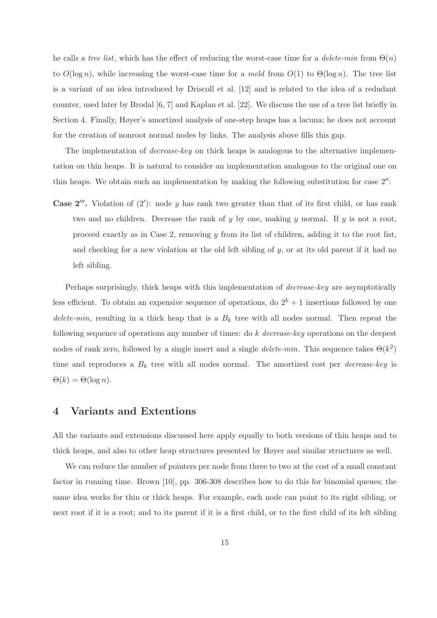he calls a tree list, which has the effect of reducing the worst-case time for a delete-min from  $\Theta(n)$ to  $O(\log n)$ , while increasing the worst-case time for a meld from  $O(1)$  to  $\Theta(\log n)$ . The tree list is a variant of an idea introduced by Driscoll et al. [12] and is related to the idea of a redudant counter, used later by Brodal [6, 7] and Kaplan et al. [22]. We discuss the use of a tree list briefly in Section 4. Finally, Høyer's amortized analysis of one-step heaps has a lacuna; he does not account for the creation of nonroot normal nodes by links. The analysis above fills this gap.

The implementation of *decrease-key* on thick heaps is analogous to the alternative implementation on thin heaps. It is natural to consider an implementation analogous to the original one on thin heaps. We obtain such an implementation by making the following substitution for case 2′′:

**Case 2'''.** Violation of  $(2')$ : node y has rank two greater than that of its first child, or has rank two and no children. Decrease the rank of  $y$  by one, making  $y$  normal. If  $y$  is not a root, proceed exactly as in Case 2, removing  $y$  from its list of children, adding it to the root list, and checking for a new violation at the old left sibling of  $y$ , or at its old parent if it had no left sibling.

Perhaps surprisingly, thick heaps with this implementation of *decrease-key* are asymptotically less efficient. To obtain an expensive sequence of operations, do  $2^k + 1$  insertions followed by one delete-min, resulting in a thick heap that is a  $B_k$  tree with all nodes normal. Then repeat the following sequence of operations any number of times: do k decrease-key operations on the deepest nodes of rank zero, followed by a single insert and a single *delete-min*. This sequence takes  $\Theta(k^2)$ time and reproduces a  $B_k$  tree with all nodes normal. The amortized cost per *decrease-key* is  $\Theta(k) = \Theta(\log n).$ 

# 4 Variants and Extentions

All the variants and extensions discussed here apply equally to both versions of thin heaps and to thick heaps, and also to other heap structures presented by Høyer and similar structures as well.

We can reduce the number of pointers per node from three to two at the cost of a small constant factor in running time. Brown [10], pp. 306-308 describes how to do this for binomial queues; the same idea works for thin or thick heaps. For example, each node can point to its right sibling, or next root if it is a root; and to its parent if it is a first child, or to the first child of its left sibling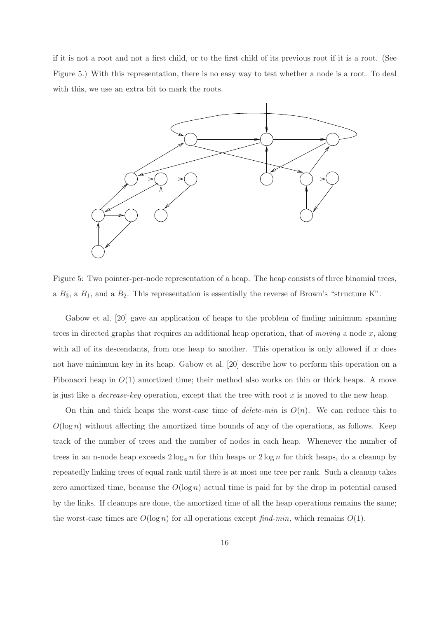if it is not a root and not a first child, or to the first child of its previous root if it is a root. (See Figure 5.) With this representation, there is no easy way to test whether a node is a root. To deal with this, we use an extra bit to mark the roots.



Figure 5: Two pointer-per-node representation of a heap. The heap consists of three binomial trees, a  $B_3$ , a  $B_1$ , and a  $B_2$ . This representation is essentially the reverse of Brown's "structure K".

Gabow et al. [20] gave an application of heaps to the problem of finding minimum spanning trees in directed graphs that requires an additional heap operation, that of *moving* a node x, along with all of its descendants, from one heap to another. This operation is only allowed if  $x$  does not have minimum key in its heap. Gabow et al. [20] describe how to perform this operation on a Fibonacci heap in  $O(1)$  amortized time; their method also works on thin or thick heaps. A move is just like a *decrease-key* operation, except that the tree with root  $x$  is moved to the new heap.

On thin and thick heaps the worst-case time of delete-min is  $O(n)$ . We can reduce this to  $O(\log n)$  without affecting the amortized time bounds of any of the operations, as follows. Keep track of the number of trees and the number of nodes in each heap. Whenever the number of trees in an n-node heap exceeds  $2\log_{\phi} n$  for thin heaps or  $2\log n$  for thick heaps, do a cleanup by repeatedly linking trees of equal rank until there is at most one tree per rank. Such a cleanup takes zero amortized time, because the  $O(\log n)$  actual time is paid for by the drop in potential caused by the links. If cleanups are done, the amortized time of all the heap operations remains the same; the worst-case times are  $O(\log n)$  for all operations except find-min, which remains  $O(1)$ .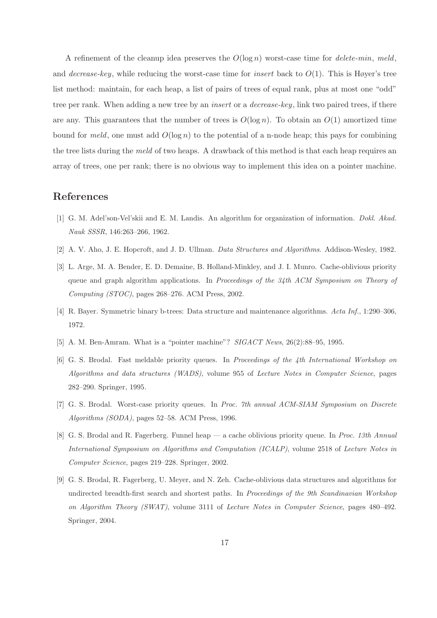A refinement of the cleanup idea preserves the  $O(\log n)$  worst-case time for *delete-min*, meld, and *decrease-key*, while reducing the worst-case time for *insert* back to  $O(1)$ . This is Høyer's tree list method: maintain, for each heap, a list of pairs of trees of equal rank, plus at most one "odd" tree per rank. When adding a new tree by an *insert* or a *decrease-key*, link two paired trees, if there are any. This guarantees that the number of trees is  $O(\log n)$ . To obtain an  $O(1)$  amortized time bound for meld, one must add  $O(\log n)$  to the potential of a n-node heap; this pays for combining the tree lists during the meld of two heaps. A drawback of this method is that each heap requires an array of trees, one per rank; there is no obvious way to implement this idea on a pointer machine.

#### References

- [1] G. M. Adel'son-Vel'skii and E. M. Landis. An algorithm for organization of information. Dokl. Akad. Nauk SSSR, 146:263–266, 1962.
- [2] A. V. Aho, J. E. Hopcroft, and J. D. Ullman. Data Structures and Algorithms. Addison-Wesley, 1982.
- [3] L. Arge, M. A. Bender, E. D. Demaine, B. Holland-Minkley, and J. I. Munro. Cache-oblivious priority queue and graph algorithm applications. In Proceedings of the  $34th$  ACM Symposium on Theory of Computing (STOC), pages 268–276. ACM Press, 2002.
- [4] R. Bayer. Symmetric binary b-trees: Data structure and maintenance algorithms. Acta Inf., 1:290–306, 1972.
- [5] A. M. Ben-Amram. What is a "pointer machine"? SIGACT News, 26(2):88–95, 1995.
- [6] G. S. Brodal. Fast meldable priority queues. In Proceedings of the 4th International Workshop on Algorithms and data structures (WADS), volume 955 of Lecture Notes in Computer Science, pages 282–290. Springer, 1995.
- [7] G. S. Brodal. Worst-case priority queues. In Proc. 7th annual ACM-SIAM Symposium on Discrete Algorithms (SODA), pages 52–58. ACM Press, 1996.
- [8] G. S. Brodal and R. Fagerberg. Funnel heap a cache oblivious priority queue. In Proc. 13th Annual International Symposium on Algorithms and Computation (ICALP), volume 2518 of Lecture Notes in Computer Science, pages 219–228. Springer, 2002.
- [9] G. S. Brodal, R. Fagerberg, U. Meyer, and N. Zeh. Cache-oblivious data structures and algorithms for undirected breadth-first search and shortest paths. In Proceedings of the 9th Scandinavian Workshop on Algorithm Theory (SWAT), volume 3111 of Lecture Notes in Computer Science, pages 480–492. Springer, 2004.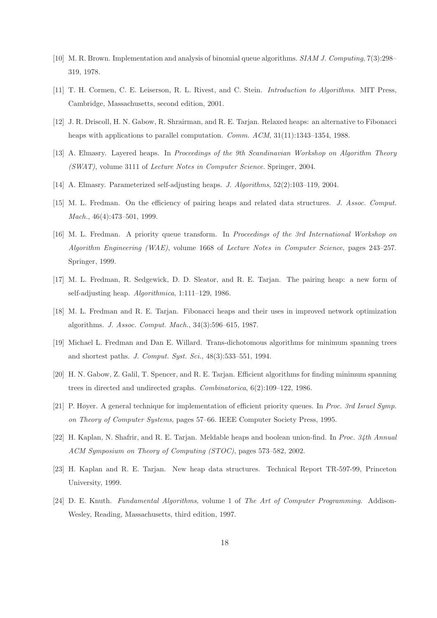- [10] M. R. Brown. Implementation and analysis of binomial queue algorithms. SIAM J. Computing, 7(3):298– 319, 1978.
- [11] T. H. Cormen, C. E. Leiserson, R. L. Rivest, and C. Stein. Introduction to Algorithms. MIT Press, Cambridge, Massachusetts, second edition, 2001.
- [12] J. R. Driscoll, H. N. Gabow, R. Shrairman, and R. E. Tarjan. Relaxed heaps: an alternative to Fibonacci heaps with applications to parallel computation. Comm. ACM, 31(11):1343-1354, 1988.
- [13] A. Elmasry. Layered heaps. In Proceedings of the 9th Scandinavian Workshop on Algorithm Theory (SWAT), volume 3111 of Lecture Notes in Computer Science. Springer, 2004.
- [14] A. Elmasry. Parameterized self-adjusting heaps. J. Algorithms, 52(2):103–119, 2004.
- [15] M. L. Fredman. On the efficiency of pairing heaps and related data structures. J. Assoc. Comput. Mach., 46(4):473–501, 1999.
- [16] M. L. Fredman. A priority queue transform. In Proceedings of the 3rd International Workshop on Algorithm Engineering (WAE), volume 1668 of Lecture Notes in Computer Science, pages 243–257. Springer, 1999.
- [17] M. L. Fredman, R. Sedgewick, D. D. Sleator, and R. E. Tarjan. The pairing heap: a new form of self-adjusting heap. Algorithmica, 1:111–129, 1986.
- [18] M. L. Fredman and R. E. Tarjan. Fibonacci heaps and their uses in improved network optimization algorithms. J. Assoc. Comput. Mach., 34(3):596–615, 1987.
- [19] Michael L. Fredman and Dan E. Willard. Trans-dichotomous algorithms for minimum spanning trees and shortest paths. J. Comput. Syst. Sci., 48(3):533–551, 1994.
- [20] H. N. Gabow, Z. Galil, T. Spencer, and R. E. Tarjan. Efficient algorithms for finding minimum spanning trees in directed and undirected graphs. Combinatorica, 6(2):109–122, 1986.
- [21] P. Høyer. A general technique for implementation of efficient priority queues. In Proc. 3rd Israel Symp. on Theory of Computer Systems, pages 57–66. IEEE Computer Society Press, 1995.
- [22] H. Kaplan, N. Shafrir, and R. E. Tarjan. Meldable heaps and boolean union-find. In Proc. 34th Annual ACM Symposium on Theory of Computing (STOC), pages 573–582, 2002.
- [23] H. Kaplan and R. E. Tarjan. New heap data structures. Technical Report TR-597-99, Princeton University, 1999.
- [24] D. E. Knuth. Fundamental Algorithms, volume 1 of The Art of Computer Programming. Addison-Wesley, Reading, Massachusetts, third edition, 1997.